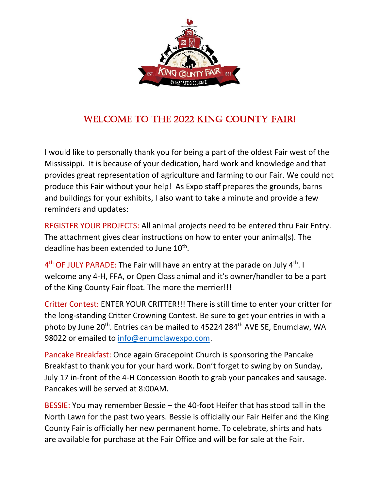

## WELCOME TO THE 2022 KING COUNTY FAIR!

I would like to personally thank you for being a part of the oldest Fair west of the Mississippi. It is because of your dedication, hard work and knowledge and that provides great representation of agriculture and farming to our Fair. We could not produce this Fair without your help! As Expo staff prepares the grounds, barns and buildings for your exhibits, I also want to take a minute and provide a few reminders and updates:

REGISTER YOUR PROJECTS: All animal projects need to be entered thru Fair Entry. The attachment gives clear instructions on how to enter your animal(s). The deadline has been extended to June 10<sup>th</sup>.

4<sup>th</sup> OF JULY PARADE: The Fair will have an entry at the parade on July 4<sup>th</sup>. I welcome any 4-H, FFA, or Open Class animal and it's owner/handler to be a part of the King County Fair float. The more the merrier!!!

Critter Contest: ENTER YOUR CRITTER!!! There is still time to enter your critter for the long-standing Critter Crowning Contest. Be sure to get your entries in with a photo by June 20<sup>th</sup>. Entries can be mailed to 45224 284<sup>th</sup> AVE SE, Enumclaw, WA 98022 or emailed to [info@enumclawexpo.com.](mailto:info@enumclawexpo.com)

Pancake Breakfast: Once again Gracepoint Church is sponsoring the Pancake Breakfast to thank you for your hard work. Don't forget to swing by on Sunday, July 17 in-front of the 4-H Concession Booth to grab your pancakes and sausage. Pancakes will be served at 8:00AM.

BESSIE: You may remember Bessie – the 40-foot Heifer that has stood tall in the North Lawn for the past two years. Bessie is officially our Fair Heifer and the King County Fair is officially her new permanent home. To celebrate, shirts and hats are available for purchase at the Fair Office and will be for sale at the Fair.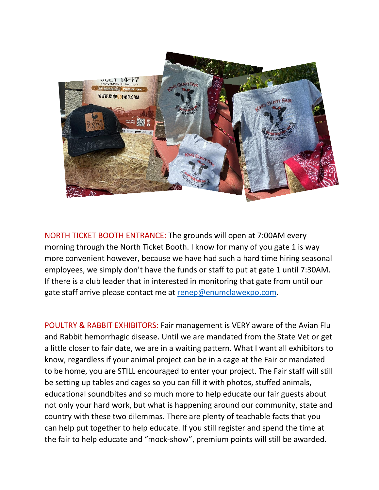

NORTH TICKET BOOTH ENTRANCE: The grounds will open at 7:00AM every morning through the North Ticket Booth. I know for many of you gate 1 is way more convenient however, because we have had such a hard time hiring seasonal employees, we simply don't have the funds or staff to put at gate 1 until 7:30AM. If there is a club leader that in interested in monitoring that gate from until our gate staff arrive please contact me at [renep@enumclawexpo.com.](mailto:renep@enumclawexpo.com)

POULTRY & RABBIT EXHIBITORS: Fair management is VERY aware of the Avian Flu and Rabbit hemorrhagic disease. Until we are mandated from the State Vet or get a little closer to fair date, we are in a waiting pattern. What I want all exhibitors to know, regardless if your animal project can be in a cage at the Fair or mandated to be home, you are STILL encouraged to enter your project. The Fair staff will still be setting up tables and cages so you can fill it with photos, stuffed animals, educational soundbites and so much more to help educate our fair guests about not only your hard work, but what is happening around our community, state and country with these two dilemmas. There are plenty of teachable facts that you can help put together to help educate. If you still register and spend the time at the fair to help educate and "mock-show", premium points will still be awarded.